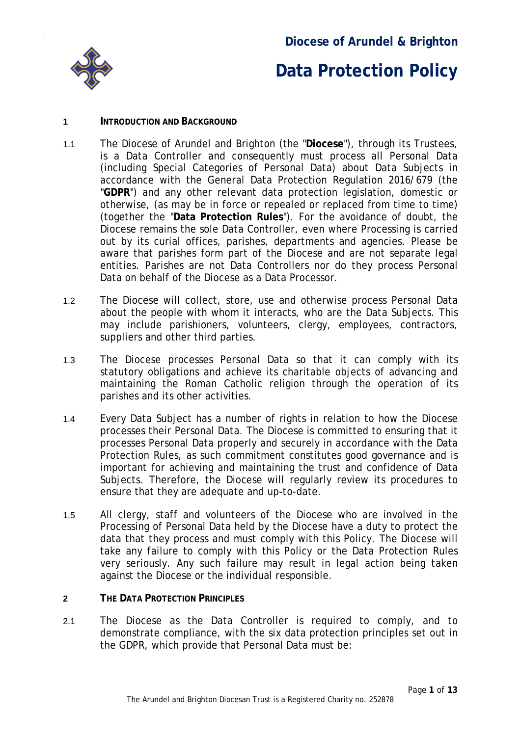

### **Diocese of Arundel & Brighton**

## **Data Protection Policy**

#### **1 INTRODUCTION AND BACKGROUND**

- 1.1 The Diocese of Arundel and Brighton (the "**Diocese**"), through its Trustees, is a Data Controller and consequently must process all Personal Data (including Special Categories of Personal Data) about Data Subjects in accordance with the General Data Protection Regulation 2016/679 (the "**GDPR**") and any other relevant data protection legislation, domestic or otherwise, (as may be in force or repealed or replaced from time to time) (together the "**Data Protection Rules**"). For the avoidance of doubt, the Diocese remains the sole Data Controller, even where Processing is carried out by its curial offices, parishes, departments and agencies. Please be aware that parishes form part of the Diocese and are not separate legal entities. Parishes are not Data Controllers nor do they process Personal Data on behalf of the Diocese as a Data Processor.
- 1.2 The Diocese will collect, store, use and otherwise process Personal Data about the people with whom it interacts, who are the Data Subjects. This may include parishioners, volunteers, clergy, employees, contractors, suppliers and other third parties.
- 1.3 The Diocese processes Personal Data so that it can comply with its statutory obligations and achieve its charitable objects of advancing and maintaining the Roman Catholic religion through the operation of its parishes and its other activities.
- 1.4 Every Data Subject has a number of rights in relation to how the Diocese processes their Personal Data. The Diocese is committed to ensuring that it processes Personal Data properly and securely in accordance with the Data Protection Rules, as such commitment constitutes good governance and is important for achieving and maintaining the trust and confidence of Data Subjects. Therefore, the Diocese will regularly review its procedures to ensure that they are adequate and up-to-date.
- 1.5 All clergy, staff and volunteers of the Diocese who are involved in the Processing of Personal Data held by the Diocese have a duty to protect the data that they process and must comply with this Policy. The Diocese will take any failure to comply with this Policy or the Data Protection Rules very seriously. Any such failure may result in legal action being taken against the Diocese or the individual responsible.
- **2 THE DATA PROTECTION PRINCIPLES**
- 2.1 The Diocese as the Data Controller is required to comply, and to demonstrate compliance, with the six data protection principles set out in the GDPR, which provide that Personal Data must be: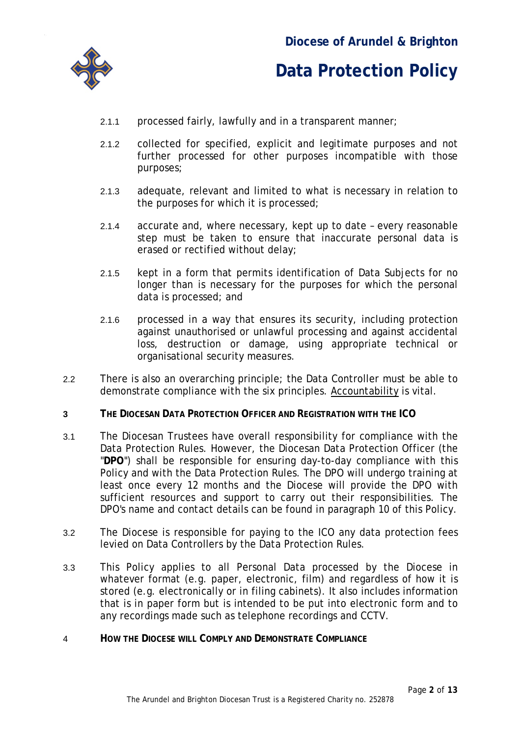

- 2.1.1 processed fairly, lawfully and in a transparent manner;
- 2.1.2 collected for specified, explicit and legitimate purposes and not further processed for other purposes incompatible with those purposes;
- 2.1.3 adequate, relevant and limited to what is necessary in relation to the purposes for which it is processed;
- 2.1.4 accurate and, where necessary, kept up to date every reasonable step must be taken to ensure that inaccurate personal data is erased or rectified without delay;
- 2.1.5 kept in a form that permits identification of Data Subjects for no longer than is necessary for the purposes for which the personal data is processed; and
- 2.1.6 processed in a way that ensures its security, including protection against unauthorised or unlawful processing and against accidental loss, destruction or damage, using appropriate technical or organisational security measures.
- 2.2 There is also an overarching principle; the Data Controller must be able to demonstrate compliance with the six principles. Accountability is vital.
- **3 THE DIOCESAN DATA PROTECTION OFFICER AND REGISTRATION WITH THE ICO**
- 3.1 The Diocesan Trustees have overall responsibility for compliance with the Data Protection Rules. However, the Diocesan Data Protection Officer (the "**DPO**") shall be responsible for ensuring day-to-day compliance with this Policy and with the Data Protection Rules. The DPO will undergo training at least once every 12 months and the Diocese will provide the DPO with sufficient resources and support to carry out their responsibilities. The DPO's name and contact details can be found in paragraph [10](#page-10-0) of this Policy.
- 3.2 The Diocese is responsible for paying to the ICO any data protection fees levied on Data Controllers by the Data Protection Rules.
- 3.3 This Policy applies to all Personal Data processed by the Diocese in whatever format (e.g. paper, electronic, film) and regardless of how it is stored (e.g. electronically or in filing cabinets). It also includes information that is in paper form but is intended to be put into electronic form and to any recordings made such as telephone recordings and CCTV.
- 4 **HOW THE DIOCESE WILL COMPLY AND DEMONSTRATE COMPLIANCE**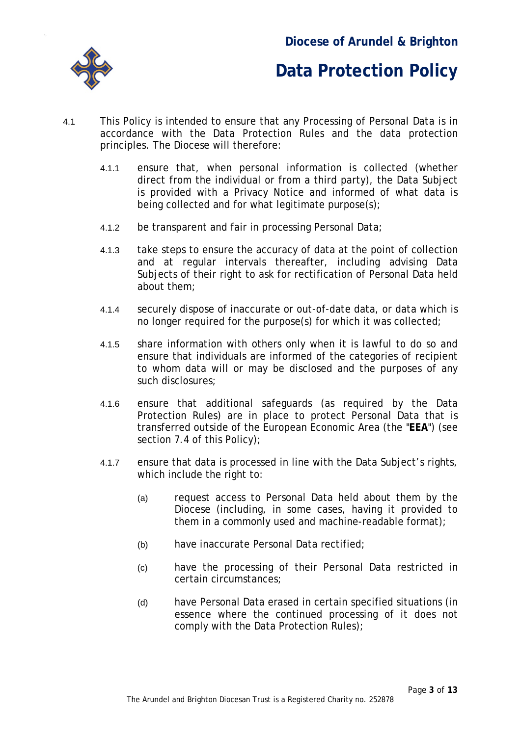

- 4.1 This Policy is intended to ensure that any Processing of Personal Data is in accordance with the Data Protection Rules and the data protection principles. The Diocese will therefore:
	- 4.1.1 ensure that, when personal information is collected (whether direct from the individual or from a third party), the Data Subject is provided with a Privacy Notice and informed of what data is being collected and for what legitimate purpose(s);
	- 4.1.2 be transparent and fair in processing Personal Data;
	- 4.1.3 take steps to ensure the accuracy of data at the point of collection and at regular intervals thereafter, including advising Data Subjects of their right to ask for rectification of Personal Data held about them;
	- 4.1.4 securely dispose of inaccurate or out-of-date data, or data which is no longer required for the purpose(s) for which it was collected;
	- 4.1.5 share information with others only when it is lawful to do so and ensure that individuals are informed of the categories of recipient to whom data will or may be disclosed and the purposes of any such disclosures;
	- 4.1.6 ensure that additional safeguards (as required by the Data Protection Rules) are in place to protect Personal Data that is transferred outside of the European Economic Area (the "**EEA**") (see section [7.4](#page-9-0) of this Policy);
	- 4.1.7 ensure that data is processed in line with the Data Subject's rights, which include the right to:
		- (a) request access to Personal Data held about them by the Diocese (including, in some cases, having it provided to them in a commonly used and machine-readable format);
		- (b) have inaccurate Personal Data rectified;
		- (c) have the processing of their Personal Data restricted in certain circumstances;
		- (d) have Personal Data erased in certain specified situations (in essence where the continued processing of it does not comply with the Data Protection Rules);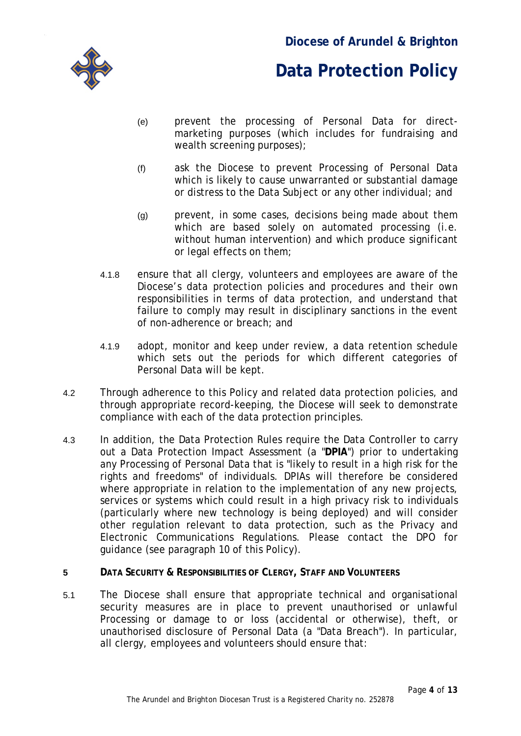

- (e) prevent the processing of Personal Data for directmarketing purposes (which includes for fundraising and wealth screening purposes);
- (f) ask the Diocese to prevent Processing of Personal Data which is likely to cause unwarranted or substantial damage or distress to the Data Subject or any other individual; and
- (g) prevent, in some cases, decisions being made about them which are based solely on automated processing (i.e. without human intervention) and which produce significant or legal effects on them;
- 4.1.8 ensure that all clergy, volunteers and employees are aware of the Diocese's data protection policies and procedures and their own responsibilities in terms of data protection, and understand that failure to comply may result in disciplinary sanctions in the event of non-adherence or breach; and
- 4.1.9 adopt, monitor and keep under review, a data retention schedule which sets out the periods for which different categories of Personal Data will be kept.
- 4.2 Through adherence to this Policy and related data protection policies, and through appropriate record-keeping, the Diocese will seek to demonstrate compliance with each of the data protection principles.
- 4.3 In addition, the Data Protection Rules require the Data Controller to carry out a Data Protection Impact Assessment (a "**DPIA**") prior to undertaking any Processing of Personal Data that is "likely to result in a high risk for the rights and freedoms" of individuals. DPIAs will therefore be considered where appropriate in relation to the implementation of any new projects, services or systems which could result in a high privacy risk to individuals (particularly where new technology is being deployed) and will consider other regulation relevant to data protection, such as the Privacy and Electronic Communications Regulations. Please contact the DPO for guidance (see paragraph [10](#page-10-0) of this Policy).
- **5 DATA SECURITY & RESPONSIBILITIES OF CLERGY, STAFF AND VOLUNTEERS**
- 5.1 The Diocese shall ensure that appropriate technical and organisational security measures are in place to prevent unauthorised or unlawful Processing or damage to or loss (accidental or otherwise), theft, or unauthorised disclosure of Personal Data (a "Data Breach"). In particular, all clergy, employees and volunteers should ensure that: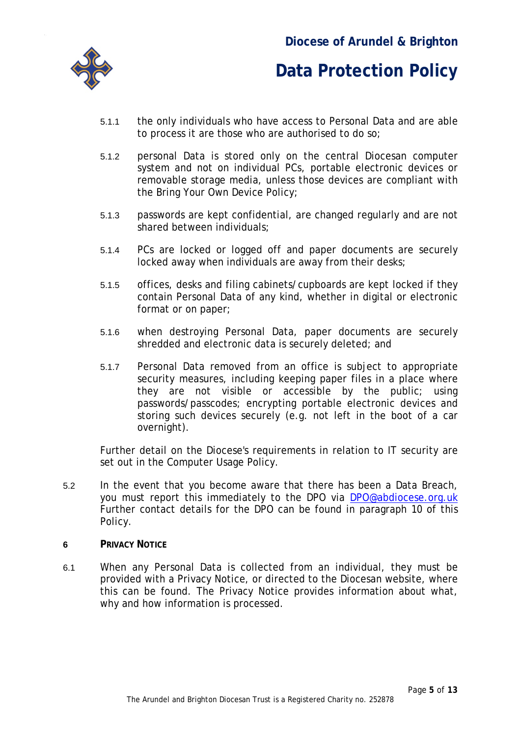

- 5.1.1 the only individuals who have access to Personal Data and are able to process it are those who are authorised to do so;
- 5.1.2 personal Data is stored only on the central Diocesan computer system and not on individual PCs, portable electronic devices or removable storage media, unless those devices are compliant with the Bring Your Own Device Policy;
- 5.1.3 passwords are kept confidential, are changed regularly and are not shared between individuals;
- 5.1.4 PCs are locked or logged off and paper documents are securely locked away when individuals are away from their desks;
- 5.1.5 offices, desks and filing cabinets/cupboards are kept locked if they contain Personal Data of any kind, whether in digital or electronic format or on paper;
- 5.1.6 when destroying Personal Data, paper documents are securely shredded and electronic data is securely deleted; and
- 5.1.7 Personal Data removed from an office is subject to appropriate security measures, including keeping paper files in a place where they are not visible or accessible by the public; using passwords/passcodes; encrypting portable electronic devices and storing such devices securely (e.g. not left in the boot of a car overnight).

Further detail on the Diocese's requirements in relation to IT security are set out in the Computer Usage Policy.

- 5.2 In the event that you become aware that there has been a Data Breach, you must report this immediately to the DPO via [DPO@abdiocese.org.uk](mailto:DPO@abdiocese.org.uk) Further contact details for the DPO can be found in paragraph [10](#page-10-0) of this Policy.
- **6 PRIVACY NOTICE**
- 6.1 When any Personal Data is collected from an individual, they must be provided with a Privacy Notice, or directed to the Diocesan website, where this can be found. The Privacy Notice provides information about what, why and how information is processed.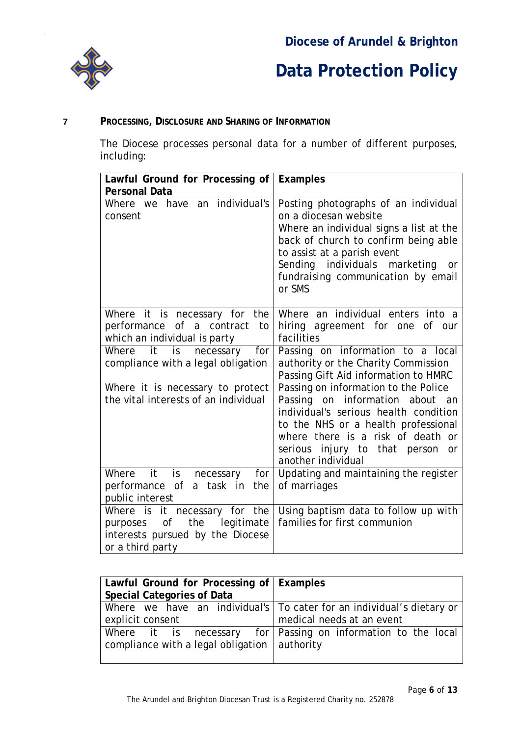

### **7 PROCESSING, DISCLOSURE AND SHARING OF INFORMATION**

The Diocese processes personal data for a number of different purposes, including:

| Lawful Ground for Processing of                                                                                        | <b>Examples</b>                                                                                                                                                                                                                                                               |  |
|------------------------------------------------------------------------------------------------------------------------|-------------------------------------------------------------------------------------------------------------------------------------------------------------------------------------------------------------------------------------------------------------------------------|--|
| <b>Personal Data</b>                                                                                                   |                                                                                                                                                                                                                                                                               |  |
| have an individual's<br>Where we<br>consent                                                                            | Posting photographs of an individual<br>on a diocesan website<br>Where an individual signs a list at the<br>back of church to confirm being able<br>to assist at a parish event<br>Sending individuals marketing<br><b>or</b><br>fundraising communication by email<br>or SMS |  |
| Where it is necessary for the<br>of a contract<br>performance<br>to<br>which an individual is party                    | Where an individual enters into a<br>hiring agreement for one of our<br>facilities                                                                                                                                                                                            |  |
| $-$ it<br>for<br>Where<br>is<br>necessary<br>compliance with a legal obligation                                        | Passing on information to a local<br>authority or the Charity Commission<br>Passing Gift Aid information to HMRC                                                                                                                                                              |  |
| Where it is necessary to protect<br>the vital interests of an individual                                               | Passing on information to the Police<br>Passing on information about<br>an<br>individual's serious health condition<br>to the NHS or a health professional<br>where there is a risk of death or<br>injury to that person<br>serious<br>or<br>another individual               |  |
| Where it<br>$\mathsf{is}$<br>for<br>necessary<br>performance of a task in<br>the<br>public interest                    | Updating and maintaining the register<br>of marriages                                                                                                                                                                                                                         |  |
| Where is it necessary for the<br>of the legitimate<br>purposes<br>interests pursued by the Diocese<br>or a third party | Using baptism data to follow up with<br>families for first communion                                                                                                                                                                                                          |  |

| Lawful Ground for Processing of   Examples           |                                                                         |  |
|------------------------------------------------------|-------------------------------------------------------------------------|--|
| <b>Special Categories of Data</b>                    |                                                                         |  |
|                                                      | Where we have an individual's   To cater for an individual's dietary or |  |
| explicit consent                                     | medical needs at an event                                               |  |
|                                                      | Where it is necessary for Passing on information to the local           |  |
| compliance with a legal obligation $\vert$ authority |                                                                         |  |
|                                                      |                                                                         |  |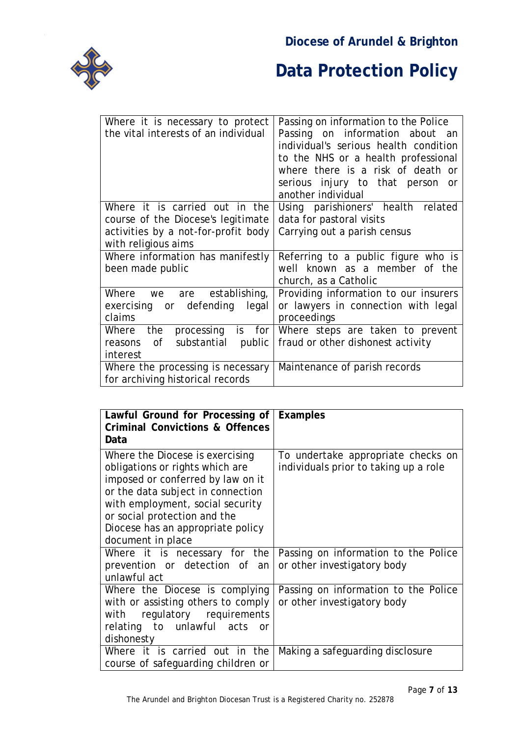### **Diocese of Arundel & Brighton**



| Where it is necessary to protect                                      | Passing on information to the Police  |
|-----------------------------------------------------------------------|---------------------------------------|
| the vital interests of an individual                                  | Passing on information about<br>an    |
|                                                                       | individual's serious health condition |
|                                                                       | to the NHS or a health professional   |
|                                                                       | where there is a risk of death or     |
|                                                                       | serious injury to that person<br>or   |
|                                                                       | another individual                    |
| Where it is carried out in the                                        | Using parishioners' health related    |
| course of the Diocese's legitimate                                    | data for pastoral visits              |
| activities by a not-for-profit body                                   | Carrying out a parish census          |
| with religious aims                                                   |                                       |
|                                                                       |                                       |
| Where information has manifestly                                      | Referring to a public figure who is   |
| been made public                                                      | known as a member of the<br>well      |
|                                                                       | church, as a Catholic                 |
| Where we are<br>establishing,                                         | Providing information to our insurers |
| defending<br>exercising or<br>legal                                   | or lawyers in connection with legal   |
| claims                                                                | proceedings                           |
| is for<br>Where<br>the<br>processing                                  | Where steps are taken to prevent      |
| 0f<br>substantial<br>public<br>reasons                                | fraud or other dishonest activity     |
| interest                                                              |                                       |
| Where the processing is necessary<br>for archiving historical records | Maintenance of parish records         |

| Lawful Ground for Processing of<br><b>Criminal Convictions &amp; Offences</b>                                                                                                                                                                                              | <b>Examples</b>                                                             |
|----------------------------------------------------------------------------------------------------------------------------------------------------------------------------------------------------------------------------------------------------------------------------|-----------------------------------------------------------------------------|
| Data                                                                                                                                                                                                                                                                       |                                                                             |
| Where the Diocese is exercising<br>obligations or rights which are<br>imposed or conferred by law on it<br>or the data subject in connection<br>with employment, social security<br>or social protection and the<br>Diocese has an appropriate policy<br>document in place | To undertake appropriate checks on<br>individuals prior to taking up a role |
| Where it is necessary for the<br>prevention or detection of an<br>unlawful act                                                                                                                                                                                             | Passing on information to the Police<br>or other investigatory body         |
| Where the Diocese is complying<br>with or assisting others to comply<br>with regulatory requirements<br>relating to unlawful acts<br>or<br>dishonesty                                                                                                                      | Passing on information to the Police<br>or other investigatory body         |
| Where it is carried out in the<br>course of safeguarding children or                                                                                                                                                                                                       | Making a safeguarding disclosure                                            |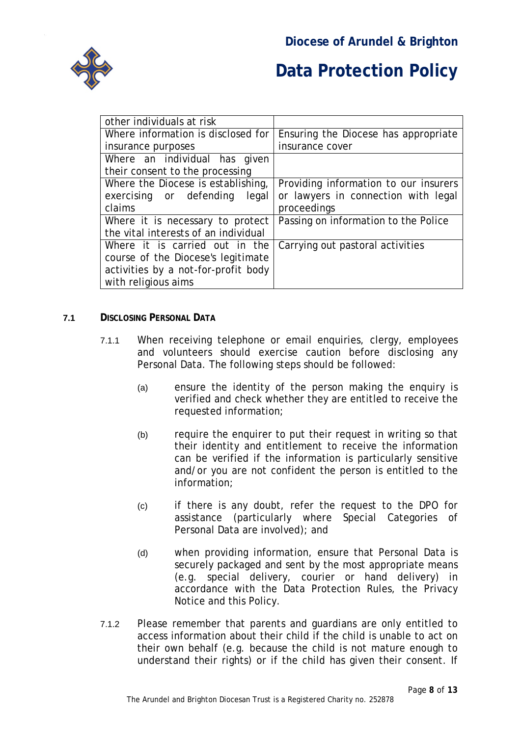

| other individuals at risk            |                                       |
|--------------------------------------|---------------------------------------|
| Where information is disclosed for   | Ensuring the Diocese has appropriate  |
| insurance purposes                   | insurance cover                       |
| Where an individual has given        |                                       |
| their consent to the processing      |                                       |
| Where the Diocese is establishing,   | Providing information to our insurers |
| exercising or defending<br>legal     | or lawyers in connection with legal   |
| claims                               | proceedings                           |
| Where it is necessary to protect     | Passing on information to the Police  |
| the vital interests of an individual |                                       |
| Where it is carried out in the       | Carrying out pastoral activities      |
| course of the Diocese's legitimate   |                                       |
| activities by a not-for-profit body  |                                       |
| with religious aims                  |                                       |

#### **7.1 DISCLOSING PERSONAL DATA**

- 7.1.1 When receiving telephone or email enquiries, clergy, employees and volunteers should exercise caution before disclosing any Personal Data. The following steps should be followed:
	- (a) ensure the identity of the person making the enquiry is verified and check whether they are entitled to receive the requested information;
	- (b) require the enquirer to put their request in writing so that their identity and entitlement to receive the information can be verified if the information is particularly sensitive and/or you are not confident the person is entitled to the information;
	- (c) if there is any doubt, refer the request to the DPO for assistance (particularly where Special Categories of Personal Data are involved); and
	- (d) when providing information, ensure that Personal Data is securely packaged and sent by the most appropriate means (e.g. special delivery, courier or hand delivery) in accordance with the Data Protection Rules, the Privacy Notice and this Policy.
- 7.1.2 Please remember that parents and guardians are only entitled to access information about their child if the child is unable to act on their own behalf (e.g. because the child is not mature enough to understand their rights) or if the child has given their consent. If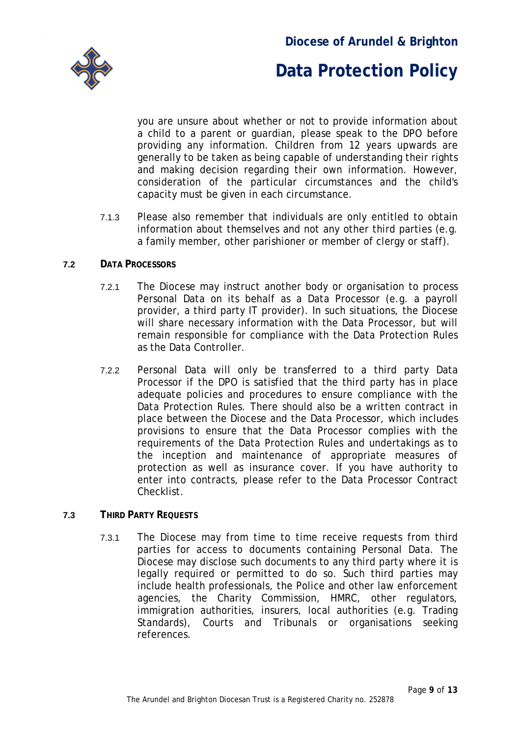

you are unsure about whether or not to provide information about a child to a parent or guardian, please speak to the DPO before providing any information. Children from 12 years upwards are generally to be taken as being capable of understanding their rights and making decision regarding their own information. However, consideration of the particular circumstances and the child's capacity must be given in each circumstance.

7.1.3 Please also remember that individuals are only entitled to obtain information about themselves and not any other third parties (e.g. a family member, other parishioner or member of clergy or staff).

#### **7.2 DATA PROCESSORS**

- 7.2.1 The Diocese may instruct another body or organisation to process Personal Data on its behalf as a Data Processor (e.g. a payroll provider, a third party IT provider). In such situations, the Diocese will share necessary information with the Data Processor, but will remain responsible for compliance with the Data Protection Rules as the Data Controller.
- 7.2.2 Personal Data will only be transferred to a third party Data Processor if the DPO is satisfied that the third party has in place adequate policies and procedures to ensure compliance with the Data Protection Rules. There should also be a written contract in place between the Diocese and the Data Processor, which includes provisions to ensure that the Data Processor complies with the requirements of the Data Protection Rules and undertakings as to the inception and maintenance of appropriate measures of protection as well as insurance cover. If you have authority to enter into contracts, please refer to the Data Processor Contract Checklist.

#### **7.3 THIRD PARTY REQUESTS**

7.3.1 The Diocese may from time to time receive requests from third parties for access to documents containing Personal Data. The Diocese may disclose such documents to any third party where it is legally required or permitted to do so. Such third parties may include health professionals, the Police and other law enforcement agencies, the Charity Commission, HMRC, other regulators, immigration authorities, insurers, local authorities (e.g. Trading Standards), Courts and Tribunals or organisations seeking references.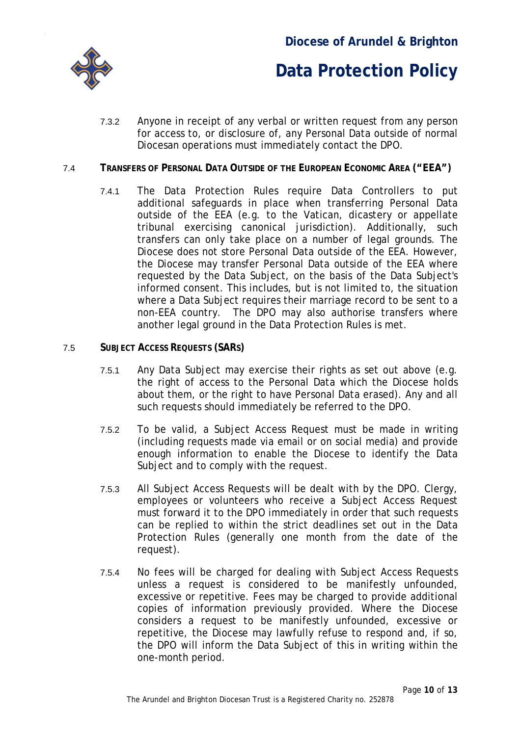

7.3.2 Anyone in receipt of any verbal or written request from any person for access to, or disclosure of, any Personal Data outside of normal Diocesan operations must immediately contact the DPO.

#### <span id="page-9-0"></span>7.4 **TRANSFERS OF PERSONAL DATA OUTSIDE OF THE EUROPEAN ECONOMIC AREA ("EEA")**

- 7.4.1 The Data Protection Rules require Data Controllers to put additional safeguards in place when transferring Personal Data outside of the EEA (e.g. to the Vatican, dicastery or appellate tribunal exercising canonical jurisdiction). Additionally, such transfers can only take place on a number of legal grounds. The Diocese does not store Personal Data outside of the EEA. However, the Diocese may transfer Personal Data outside of the EEA where requested by the Data Subject, on the basis of the Data Subject's informed consent. This includes, but is not limited to, the situation where a Data Subject requires their marriage record to be sent to a non-EEA country. The DPO may also authorise transfers where another legal ground in the Data Protection Rules is met.
- 7.5 **SUBJECT ACCESS REQUESTS (SARS)**
	- 7.5.1 Any Data Subject may exercise their rights as set out above (e.g. the right of access to the Personal Data which the Diocese holds about them, or the right to have Personal Data erased). Any and all such requests should immediately be referred to the DPO.
	- 7.5.2 To be valid, a Subject Access Request must be made in writing (including requests made via email or on social media) and provide enough information to enable the Diocese to identify the Data Subject and to comply with the request.
	- 7.5.3 All Subject Access Requests will be dealt with by the DPO. Clergy, employees or volunteers who receive a Subject Access Request must forward it to the DPO immediately in order that such requests can be replied to within the strict deadlines set out in the Data Protection Rules (generally one month from the date of the request).
	- 7.5.4 No fees will be charged for dealing with Subject Access Requests unless a request is considered to be manifestly unfounded, excessive or repetitive. Fees may be charged to provide additional copies of information previously provided. Where the Diocese considers a request to be manifestly unfounded, excessive or repetitive, the Diocese may lawfully refuse to respond and, if so, the DPO will inform the Data Subject of this in writing within the one-month period.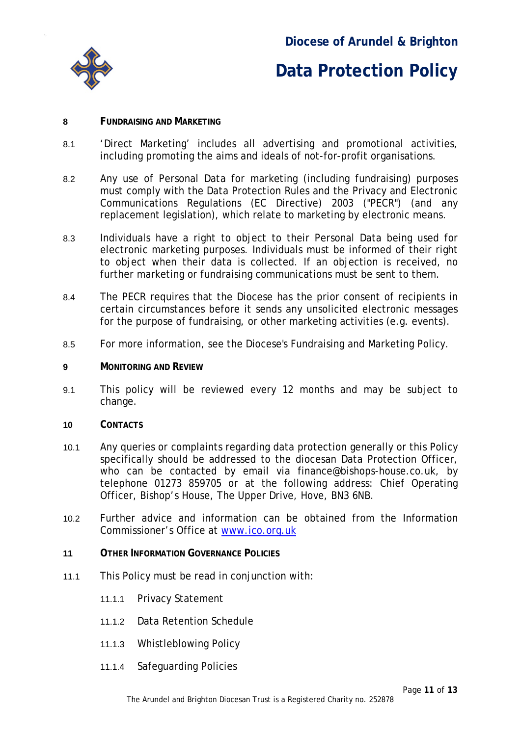

#### **8 FUNDRAISING AND MARKETING**

- 8.1 'Direct Marketing' includes all advertising and promotional activities, including promoting the aims and ideals of not-for-profit organisations.
- 8.2 Any use of Personal Data for marketing (including fundraising) purposes must comply with the Data Protection Rules and the Privacy and Electronic Communications Regulations (EC Directive) 2003 ("PECR") (and any replacement legislation), which relate to marketing by electronic means.
- 8.3 Individuals have a right to object to their Personal Data being used for electronic marketing purposes. Individuals must be informed of their right to object when their data is collected. If an objection is received, no further marketing or fundraising communications must be sent to them.
- 8.4 The PECR requires that the Diocese has the prior consent of recipients in certain circumstances before it sends any unsolicited electronic messages for the purpose of fundraising, or other marketing activities (e.g. events).
- 8.5 For more information, see the Diocese's Fundraising and Marketing Policy.
- **9 MONITORING AND REVIEW**
- 9.1 This policy will be reviewed every 12 months and may be subject to change.
- <span id="page-10-0"></span>**10 CONTACTS**
- 10.1 Any queries or complaints regarding data protection generally or this Policy specifically should be addressed to the diocesan Data Protection Officer, who can be contacted by email via finance@bishops-house.co.uk, by telephone 01273 859705 or at the following address: Chief Operating Officer, Bishop's House, The Upper Drive, Hove, BN3 6NB.
- 10.2 Further advice and information can be obtained from the Information Commissioner's Office at [www.ico.org.uk](http://www.ico.org.uk/)
- **11 OTHER INFORMATION GOVERNANCE POLICIES**
- 11.1 This Policy must be read in conjunction with:
	- 11.1.1 Privacy Statement
	- 11.1.2 Data Retention Schedule
	- 11.1.3 Whistleblowing Policy
	- 11.1.4 Safeguarding Policies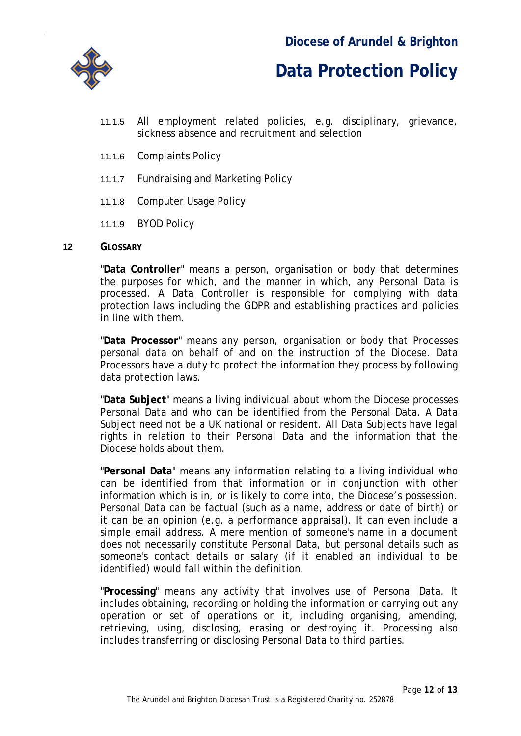

- 11.1.5 All employment related policies, e.g. disciplinary, grievance, sickness absence and recruitment and selection
- 11.1.6 Complaints Policy
- 11.1.7 Fundraising and Marketing Policy
- 11.1.8 Computer Usage Policy
- 11.1.9 BYOD Policy

#### **12 GLOSSARY**

"**Data Controller**" means a person, organisation or body that determines the purposes for which, and the manner in which, any Personal Data is processed. A Data Controller is responsible for complying with data protection laws including the GDPR and establishing practices and policies in line with them.

"**Data Processor**" means any person, organisation or body that Processes personal data on behalf of and on the instruction of the Diocese. Data Processors have a duty to protect the information they process by following data protection laws.

"**Data Subject**" means a living individual about whom the Diocese processes Personal Data and who can be identified from the Personal Data. A Data Subject need not be a UK national or resident. All Data Subjects have legal rights in relation to their Personal Data and the information that the Diocese holds about them.

"**Personal Data**" means any information relating to a living individual who can be identified from that information or in conjunction with other information which is in, or is likely to come into, the Diocese's possession. Personal Data can be factual (such as a name, address or date of birth) or it can be an opinion (e.g. a performance appraisal). It can even include a simple email address. A mere mention of someone's name in a document does not necessarily constitute Personal Data, but personal details such as someone's contact details or salary (if it enabled an individual to be identified) would fall within the definition.

"**Processing**" means any activity that involves use of Personal Data. It includes obtaining, recording or holding the information or carrying out any operation or set of operations on it, including organising, amending, retrieving, using, disclosing, erasing or destroying it. Processing also includes transferring or disclosing Personal Data to third parties.